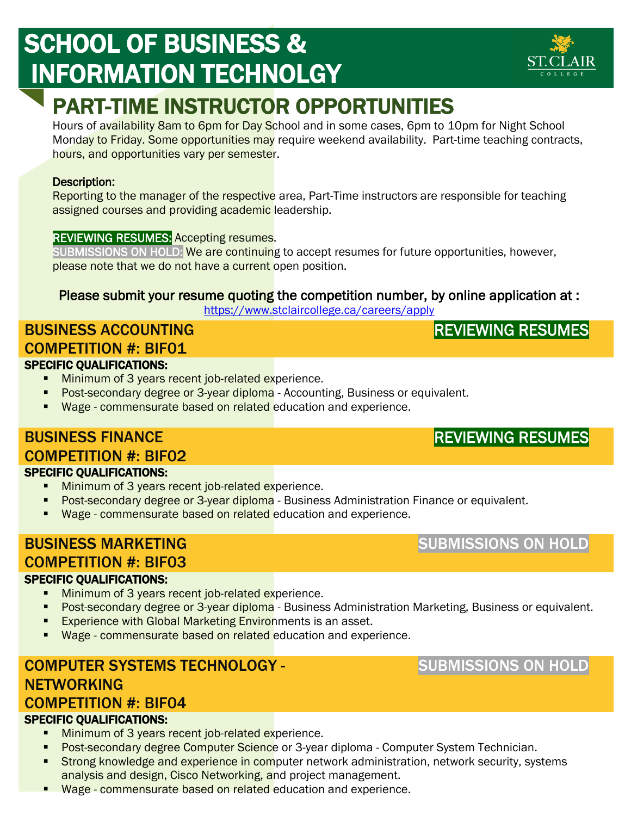# SCHOOL OF BUSINESS & INFORMATION TECHNOLGY

# PART-TIME INSTRUCTOR OPPORTUNITIES

Hours of availability 8am to 6pm for Day School and in some cases, 6pm to 10pm for Night School Monday to Friday. Some opportunities may require weekend availability. Part-time teaching contracts, hours, and opportunities vary per semester.

### Description:

Reporting to the manager of the respective area, Part-Time instructors are responsible for teaching assigned courses and providing academic leadership.

### REVIEWING RESUMES: Accepting resumes.

SUBMISSIONS ON HOLD: We are continuing to accept resumes for future opportunities, however, please note that we do not have a current open position.

## Please submit your resume quoting the competition number, by online application at :

<https://www.stclaircollege.ca/careers/apply>

### BUSINESS ACCOUNTING COMPETITION #: BIF01 SPECIFIC QUALIFICATIONS: י<br>י

- **Minimum of 3 years recent job-related experience.**
- **Post-secondary degree or 3-year diploma** Accounting, Business or equivalent.
- Wage commensurate based on related education and experience.

### BUSINESS FINANCE COMPETITION #: BIF02

### SPECIFIC QUALIFICATIONS:

- **Minimum of 3 years recent job-related experience.**
- **Post-secondary degree or 3-year diploma** Business Administration Finance or equivalent.
- **Wage commensurate based on related education and experience.**

### BUSINESS MARKETING COMPETITION #: BIF03 SPECIFIC QUALIFICATIONS:

- **Minimum of 3 years recent job-related experience.**
- **Post-secondary degree or 3-year diploma** Business Administration Marketing, Business or equivalent.
- **Experience with Global Marketing Environments is an asset.**
- Wage commensurate based on related education and experience.

## COMPUTER SYSTEMS TECHNOLOGY - **NETWORKING** COMPETITION #: BIF04

### SPECIFIC QUALIFICATIONS:

- **Minimum of 3 years recent job-related experience.**
- **Post-secondary degree Computer Science** or 3-year diploma Computer System Technician.
- **Strong knowledge and experience in computer network administration, network security, systems** analysis and design, Cisco Networking, and project management.
- **Wage commensurate based on related education and experience.**

## SUBMISSIONS ON HOLD

REVIEWING RESUMES



# SUBMISSIONS ON HOLD

## REVIEWING RESUMES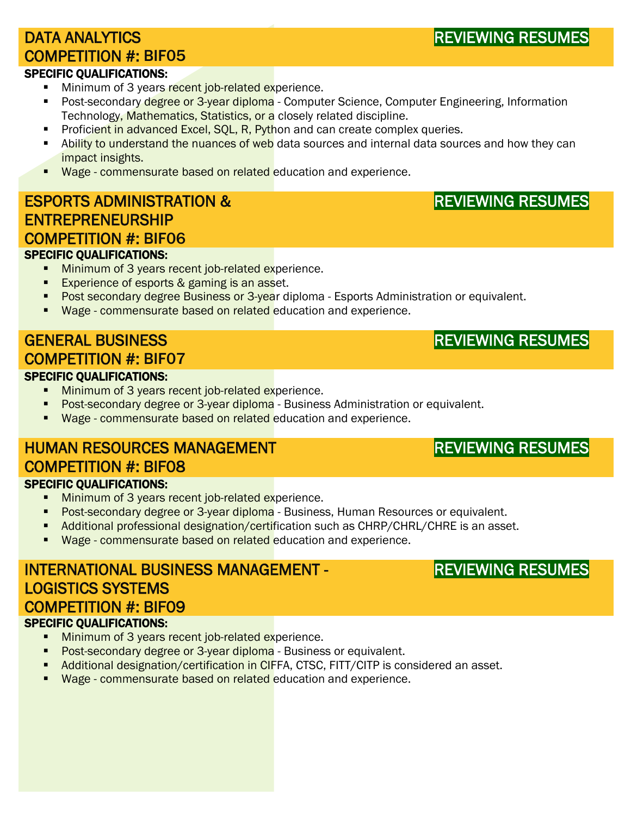## DATA ANALYTICS COMPETITION #: BIF05

### SPECIFIC QUALIFICATIONS:

- Minimum of 3 years recent job-related experience.
- Post-secondary degree or 3-year diploma Computer Science, Computer Engineering, Information Technology, Mathematics, Statistics, or a closely related discipline.
- **Proficient in advanced Excel, SQL, R, Python and can create complex queries.**
- Ability to understand the nuances of web data sources and internal data sources and how they can impact insights.
- **Wage commensurate based on related education and experience.**

## ESPORTS ADMINISTRATION & ENTREPRENEURSHIP COMPETITION #: BIF06

### SPECIFIC QUALIFICATIONS:

- **Minimum of 3 years recent job-related experience.** 
	- **Experience of esports & gaming is an asset.**
	- Post secondary degree Business or 3-year diploma Esports Administration or equivalent.
	- Wage commensurate based on related education and experience.

## GENERAL BUSINESS COMPETITION #: BIF07

### SPECIFIC QUALIFICATIONS:

- **Minimum of 3 years recent job-related experience.**
- **Post-secondary degree or 3-year diploma** Business Administration or equivalent.
- **Wage commensurate based on related education and experience.**

### HUMAN RESOURCES MANAGEMENT COMPETITION #: BIF08 SPECIFIC QUALIFICATIONS:

- **Minimum of 3 years recent job-related experience.**
- **Post-secondary degree or 3-year diploma** Business, Human Resources or equivalent.
- Additional professional designation/certification such as CHRP/CHRL/CHRE is an asset.
- **Wage commensurate based on related education and experience.**

## INTERNATIONAL BUSINESS MANAGEMENT - LOGISTICS SYSTEMS COMPETITION #: BIF09 SPECIFIC QUALIFICATIONS:

- **Minimum of 3 years recent job-related experience.**
- **Post-secondary degree or 3-year diploma** Business or equivalent.
- Additional designation/certification in CIFFA, CTSC, FITT/CITP is considered an asset.
- Wage commensurate based on related education and experience.

## REVIEWING RESUMES

REVIEWING RESUMES

REVIEWING RESUMES

## REVIEWING RESUMES

REVIEWING RESUMES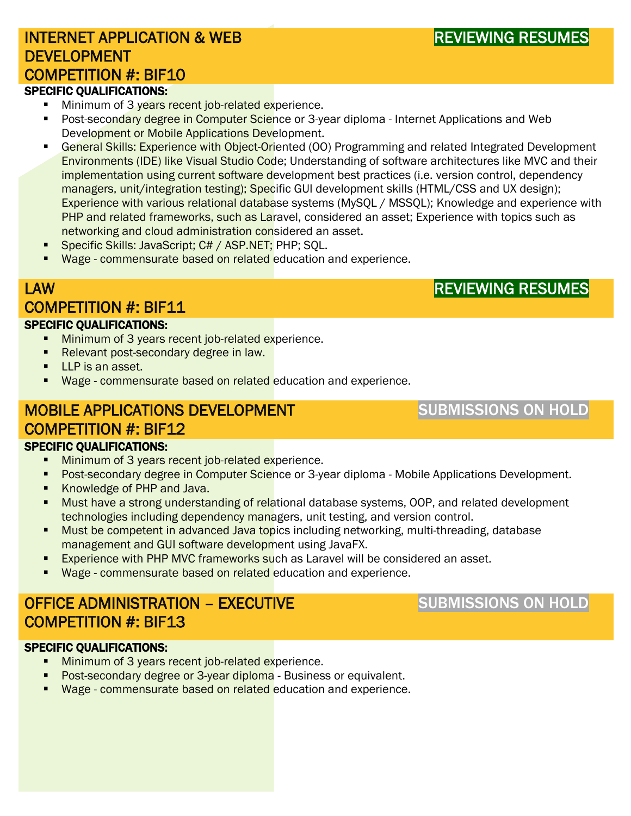## INTERNET APPLICATION & WEB **DEVELOPMENT** COMPETITION #: BIF10

### SPECIFIC QUALIFICATIONS:

- Minimum of 3 years recent job-related experience.
- **Post-secondary degree in Computer Science or 3-year diploma Internet Applications and Web** Development or Mobile Applications Development.
- **EXPERIAT Change Transform School School Service Correlation** COO) Programming and related Integrated Development Environments (IDE) like Visual Studio Code; Understanding of software architectures like MVC and their implementation using current software development best practices (i.e. version control, dependency managers, unit/integration testing); Specific GUI development skills (HTML/CSS and UX design); Experience with various relational database systems (MySQL / MSSQL); Knowledge and experience with PHP and related frameworks, such as Laravel, considered an asset; Experience with topics such as networking and cloud administration considered an asset.
- **Specific Skills: JavaScript; C# / ASP.NET; PHP; SQL.**
- **Wage commensurate based on related education and experience.**

## LAW COMPETITION #: BIF11

## REVIEWING RESUMES

### SPECIFIC QUALIFICATIONS:

- **Minimum of 3 years recent job-related experience.**
- Relevant post-secondary degree in law.
- **LLP** is an asset.
- Wage commensurate based on related education and experience.

## MOBILE APPLICATIONS DEVELOPMENT COMPETITION #: BIF12

SUBMISSIONS ON HOLD

### SPECIFIC QUALIFICATIONS:

- Minimum of 3 years recent job-related experience.
- **Post-secondary degree in Computer Science or 3-year diploma Mobile Applications Development.**
- Knowledge of PHP and Java.
- **Must have a strong understanding of relational database systems, OOP, and related development** technologies including dependency managers, unit testing, and version control.
- Must be competent in advanced Java topics including networking, multi-threading, database management and GUI software development using JavaFX.
- **Experience with PHP MVC frameworks such as Laravel will be considered an asset.**
- **Wage commensurate based on related education and experience.**

# OFFICE ADMINISTRATION – EXECUTIVE COMPETITION #: BIF13 SPECIFIC QUALIFICATIONS:

## SUBMISSIONS ON HOLD

- **Minimum of 3 years recent job-related experience.**
- **Post-secondary degree or 3-year diploma** Business or equivalent.
- Wage commensurate based on related education and experience.

REVIEWING RESUMES